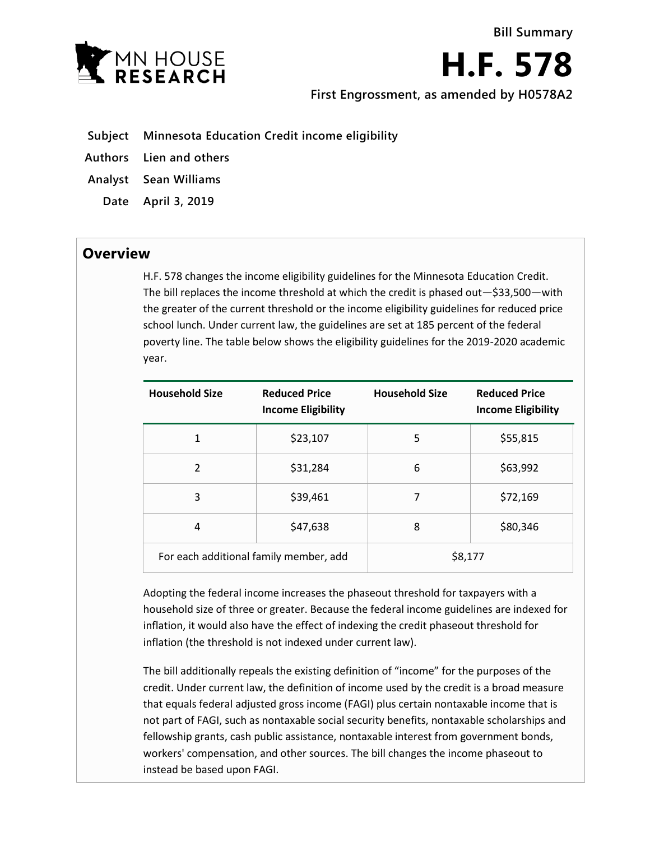

**H.F. 578**

**First Engrossment, as amended by H0578A2**

- **Subject Minnesota Education Credit income eligibility**
- **Authors Lien and others**
- **Analyst Sean Williams**
- **Date April 3, 2019**

## **Overview**

H.F. 578 changes the income eligibility guidelines for the Minnesota Education Credit. The bill replaces the income threshold at which the credit is phased out—\$33,500—with the greater of the current threshold or the income eligibility guidelines for reduced price school lunch. Under current law, the guidelines are set at 185 percent of the federal poverty line. The table below shows the eligibility guidelines for the 2019-2020 academic year.

| <b>Household Size</b>                  | <b>Reduced Price</b><br><b>Income Eligibility</b> | <b>Household Size</b> | <b>Reduced Price</b><br><b>Income Eligibility</b> |
|----------------------------------------|---------------------------------------------------|-----------------------|---------------------------------------------------|
| 1                                      | \$23,107                                          | 5                     | \$55,815                                          |
| $\overline{2}$                         | \$31,284                                          | 6                     | \$63,992                                          |
| 3                                      | \$39,461                                          | 7                     | \$72,169                                          |
| 4                                      | \$47,638                                          | 8                     | \$80,346                                          |
| For each additional family member, add |                                                   | \$8,177               |                                                   |

Adopting the federal income increases the phaseout threshold for taxpayers with a household size of three or greater. Because the federal income guidelines are indexed for inflation, it would also have the effect of indexing the credit phaseout threshold for inflation (the threshold is not indexed under current law).

The bill additionally repeals the existing definition of "income" for the purposes of the credit. Under current law, the definition of income used by the credit is a broad measure that equals federal adjusted gross income (FAGI) plus certain nontaxable income that is not part of FAGI, such as nontaxable social security benefits, nontaxable scholarships and fellowship grants, cash public assistance, nontaxable interest from government bonds, workers' compensation, and other sources. The bill changes the income phaseout to instead be based upon FAGI.